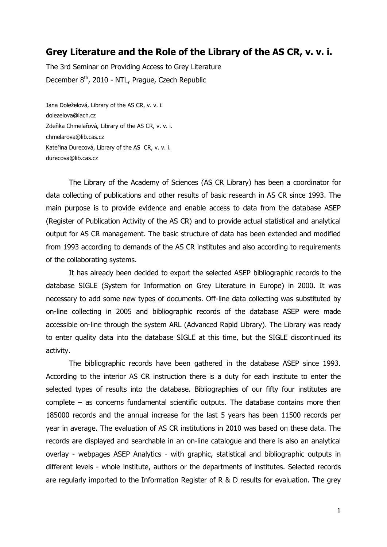## **Grey Literature and the Role of the Library of the AS CR, v. v. i.**

The 3rd Seminar on Providing Access to Grey Literature December 8th, 2010 - NTL, Prague, Czech Republic

Jana Doleželová, Library of the AS CR, v. v. i. dolezelova@iach.cz Zdeňka Chmelařová, Library of the AS CR, v. v. i. chmelarova@lib.cas.cz Kateřina Durecová, Library of the AS CR, v. v. i. durecova@lib.cas.cz

The Library of the Academy of Sciences (AS CR Library) has been a coordinator for data collecting of publications and other results of basic research in AS CR since 1993. The main purpose is to provide evidence and enable access to data from the database ASEP (Register of Publication Activity of the AS CR) and to provide actual statistical and analytical output for AS CR management. The basic structure of data has been extended and modified from 1993 according to demands of the AS CR institutes and also according to requirements of the collaborating systems.

It has already been decided to export the selected ASEP bibliographic records to the database SIGLE (System for Information on Grey Literature in Europe) in 2000. It was necessary to add some new types of documents. Off-line data collecting was substituted by on-line collecting in 2005 and bibliographic records of the database ASEP were made accessible on-line through the system ARL (Advanced Rapid Library). The Library was ready to enter quality data into the database SIGLE at this time, but the SIGLE discontinued its activity.

The bibliographic records have been gathered in the database ASEP since 1993. According to the interior AS CR instruction there is a duty for each institute to enter the selected types of results into the database. Bibliographies of our fifty four institutes are complete – as concerns fundamental scientific outputs. The database contains more then 185000 records and the annual increase for the last 5 years has been 11500 records per year in average. The evaluation of AS CR institutions in 2010 was based on these data. The records are displayed and searchable in an on-line catalogue and there is also an analytical overlay - webpages ASEP Analytics - with graphic, statistical and bibliographic outputs in different levels - whole institute, authors or the departments of institutes. Selected records are regularly imported to the Information Register of R & D results for evaluation. The grey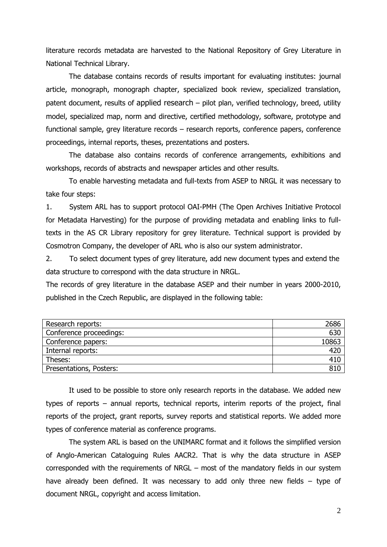literature records metadata are harvested to the National Repository of Grey Literature in National Technical Library.

The database contains records of results important for evaluating institutes: journal article, monograph, monograph chapter, specialized book review, specialized translation, patent document, results of applied research – pilot plan, verified technology, breed, utility model, specialized map, norm and directive, certified methodology, software, prototype and functional sample, grey literature records – research reports, conference papers, conference proceedings, internal reports, theses, prezentations and posters.

The database also contains records of conference arrangements, exhibitions and workshops, records of abstracts and newspaper articles and other results.

To enable harvesting metadata and full-texts from ASEP to NRGL it was necessary to take four steps:

1. System ARL has to support protocol OAI-PMH (The Open Archives Initiative Protocol for Metadata Harvesting) for the purpose of providing metadata and enabling links to fulltexts in the AS CR Library repository for grey literature. Technical support is provided by Cosmotron Company, the developer of ARL who is also our system administrator.

2. To select document types of grey literature, add new document types and extend the data structure to correspond with the data structure in NRGL.

The records of grey literature in the database ASEP and their number in years 2000-2010, published in the Czech Republic, are displayed in the following table:

| Research reports:       | 2686  |
|-------------------------|-------|
| Conference proceedings: | 630   |
| Conference papers:      | 10863 |
| Internal reports:       | 420   |
| Theses:                 | 410   |
| Presentations, Posters: | 810   |

It used to be possible to store only research reports in the database. We added new types of reports – annual reports, technical reports, interim reports of the project, final reports of the project, grant reports, survey reports and statistical reports. We added more types of conference material as conference programs.

The system ARL is based on the UNIMARC format and it follows the simplified version of Anglo-American Cataloguing Rules AACR2. That is why the data structure in ASEP corresponded with the requirements of NRGL – most of the mandatory fields in our system have already been defined. It was necessary to add only three new fields – type of document NRGL, copyright and access limitation.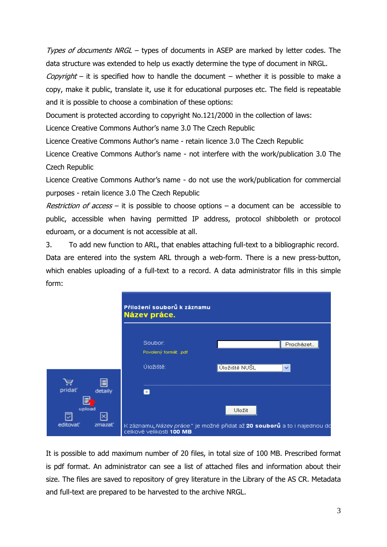Types of documents NRGL – types of documents in ASEP are marked by letter codes. The data structure was extended to help us exactly determine the type of document in NRGL.

Copyright – it is specified how to handle the document – whether it is possible to make a copy, make it public, translate it, use it for educational purposes etc. The field is repeatable and it is possible to choose a combination of these options:

Document is protected according to copyright No.121/2000 in the collection of laws:

Licence Creative Commons Author's name 3.0 The Czech Republic

form:

Licence Creative Commons Author's name - retain licence 3.0 The Czech Republic

Licence Creative Commons Author's name - not interfere with the work/publication 3.0 The Czech Republic

Licence Creative Commons Author's name - do not use the work/publication for commercial purposes - retain licence 3.0 The Czech Republic

*Restriction of access* – it is possible to choose options – a document can be accessible to public, accessible when having permitted IP address, protocol shibboleth or protocol eduroam, or a document is not accessible at all.

3. To add new function to ARL, that enables attaching full-text to a bibliographic record. Data are entered into the system ARL through a web-form. There is a new press-button, which enables uploading of a full-text to a record. A data administrator fills in this simple

|                    | Přiložení souborů k záznamu<br>Název práce. |                                                                          |  |
|--------------------|---------------------------------------------|--------------------------------------------------------------------------|--|
|                    | Soubor:<br>Povolený formát: .pdf            | Procházet                                                                |  |
|                    | Úložiště:                                   | Úložiště NUŠL                                                            |  |
|                    |                                             |                                                                          |  |
| pridat'<br>detaily | $+$                                         |                                                                          |  |
| upload             |                                             | Uložit                                                                   |  |
| editovať<br>zmazať | celkové velikosti 100 MB.                   | K záznamu"Název práce." je možné přidat až 20 souborů a to i najednou do |  |

It is possible to add maximum number of 20 files, in total size of 100 MB. Prescribed format is pdf format. An administrator can see a list of attached files and information about their size. The files are saved to repository of grey literature in the Library of the AS CR. Metadata and full-text are prepared to be harvested to the archive NRGL.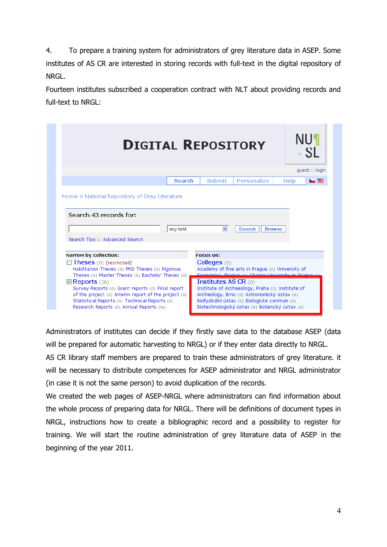4. To prepare a training system for administrators of grey literature data in ASEP. Some institutes of AS CR are interested in storing records with full-text in the digital repository of NRGL.

Fourteen institutes subscribed a cooperation contract with NLT about providing records and full-text to NRGL:

|                                                                                                                                                                                                                        | <b>NU1</b><br><b>DIGITAL REPOSITORY</b>                                                                                                                                                                    |
|------------------------------------------------------------------------------------------------------------------------------------------------------------------------------------------------------------------------|------------------------------------------------------------------------------------------------------------------------------------------------------------------------------------------------------------|
|                                                                                                                                                                                                                        | quest :: login                                                                                                                                                                                             |
| <b>Search</b>                                                                                                                                                                                                          | Personalize<br><b>Submit</b><br>$\blacktriangleright$ $\blacksquare$<br><b>Help</b>                                                                                                                        |
|                                                                                                                                                                                                                        |                                                                                                                                                                                                            |
| any field<br>Search Tips :: Advanced Search                                                                                                                                                                            | $\checkmark$<br><b>Search</b><br><b>Browse</b>                                                                                                                                                             |
| Narrow by collection:                                                                                                                                                                                                  | Focus on:                                                                                                                                                                                                  |
| $\Box$ Theses (0) [restricted]<br>Habilitation Theses (0) PhD Theses (0) Rigorous<br>Theses (0) Master Theses (0) Bachelor Theses (0)<br>$\mathbf>□$ Reports (36)<br>Survey Reports (0) Grant reports (0) Final report | Colleges $(0)$<br>Academy of fine arts in Praque (0) University of<br>Feanamics, Prague (a) Charles University in Prague (a)<br>Institutes AS CR $(0)$<br>Institute of Archaeology, Praha (0) Institute of |

Administrators of institutes can decide if they firstly save data to the database ASEP (data will be prepared for automatic harvesting to NRGL) or if they enter data directly to NRGL.

AS CR library staff members are prepared to train these administrators of grey literature. it will be necessary to distribute competences for ASEP administrator and NRGL administrator (in case it is not the same person) to avoid duplication of the records.

We created the web pages of ASEP-NRGL where administrators can find information about the whole process of preparing data for NRGL. There will be definitions of document types in NRGL, instructions how to create a bibliographic record and a possibility to register for training. We will start the routine administration of grey literature data of ASEP in the beginning of the year 2011.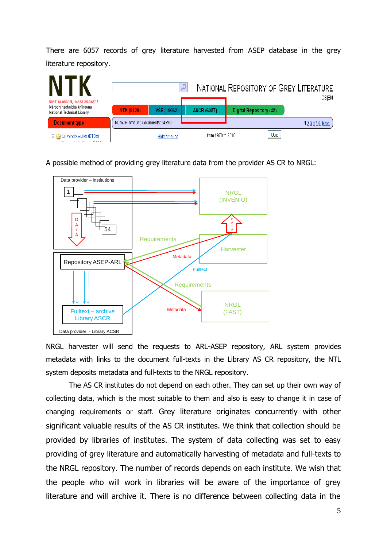There are 6057 records of grey literature harvested from ASEP database in the grey literature repository.



A possible method of providing grey literature data from the provider AS CR to NRGL:



NRGL harvester will send the requests to ARL-ASEP repository, ARL system provides metadata with links to the document full-texts in the Library AS CR repository, the NTL system deposits metadata and full-texts to the NRGL repository.

The AS CR institutes do not depend on each other. They can set up their own way of collecting data, which is the most suitable to them and also is easy to change it in case of changing requirements or staff. Grey literature originates concurrently with other significant valuable results of the AS CR institutes. We think that collection should be provided by libraries of institutes. The system of data collecting was set to easy providing of grey literature and automatically harvesting of metadata and full-texts to the NRGL repository. The number of records depends on each institute. We wish that the people who will work in libraries will be aware of the importance of grey literature and will archive it. There is no difference between collecting data in the